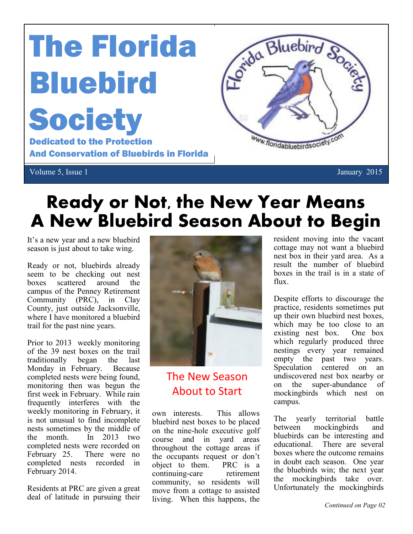# The Florida Bluebird **Society** Dedicated to the Protection

And Conservation of Bluebirds in Florida



### **Ready or Not, the New Year Means A New Bluebird Season About to Begin**

It's a new year and a new bluebird season is just about to take wing.

Ready or not, bluebirds already seem to be checking out nest boxes scattered around the campus of the Penney Retirement Community (PRC), in Clay County, just outside Jacksonville, where I have monitored a bluebird trail for the past nine years.

Prior to 2013 weekly monitoring of the 39 nest boxes on the trail traditionally began the last Monday in February. Because completed nests were being found, monitoring then was begun the first week in February. While rain frequently interferes with the weekly monitoring in February, it is not unusual to find incomplete nests sometimes by the middle of the month. In 2013 two completed nests were recorded on February 25. There were no completed nests recorded in February 2014.

Residents at PRC are given a great deal of latitude in pursuing their



The New Season About to Start

own interests. This allows bluebird nest boxes to be placed on the nine-hole executive golf course and in yard areas throughout the cottage areas if the occupants request or don't object to them. PRC is a continuing-care retirement community, so residents will move from a cottage to assisted living. When this happens, the resident moving into the vacant cottage may not want a bluebird nest box in their yard area. As a result the number of bluebird boxes in the trail is in a state of flux.

Despite efforts to discourage the practice, residents sometimes put up their own bluebird nest boxes, which may be too close to an existing nest box. One box which regularly produced three nestings every year remained empty the past two years. Speculation centered on an undiscovered nest box nearby or on the super-abundance of mockingbirds which nest on campus.

The yearly territorial battle between mockingbirds and bluebirds can be interesting and educational. There are several boxes where the outcome remains in doubt each season. One year the bluebirds win; the next year the mockingbirds take over. Unfortunately the mockingbirds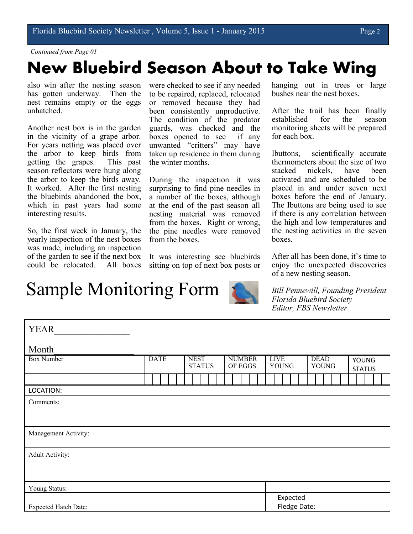#### *Continued from Page 01*

### **New Bluebird Season About to Take Wing**

also win after the nesting season has gotten underway. Then the nest remains empty or the eggs unhatched.

Another nest box is in the garden in the vicinity of a grape arbor. For years netting was placed over the arbor to keep birds from getting the grapes. This past season reflectors were hung along the arbor to keep the birds away. It worked. After the first nesting the bluebirds abandoned the box, which in past years had some interesting results.

So, the first week in January, the yearly inspection of the nest boxes was made, including an inspection of the garden to see if the next box could be relocated. All boxes

Sample Monitoring Form

were checked to see if any needed to be repaired, replaced, relocated or removed because they had been consistently unproductive. The condition of the predator guards, was checked and the boxes opened to see if any unwanted "critters" may have taken up residence in them during the winter months.

During the inspection it was surprising to find pine needles in a number of the boxes, although at the end of the past season all nesting material was removed from the boxes. Right or wrong, the pine needles were removed from the boxes.

It was interesting see bluebirds sitting on top of next box posts or hanging out in trees or large bushes near the nest boxes.

After the trail has been finally established for the season monitoring sheets will be prepared for each box.

Ibuttons, scientifically accurate thermometers about the size of two stacked nickels, have been activated and are scheduled to be placed in and under seven next boxes before the end of January. The Ibuttons are being used to see if there is any correlation between the high and low temperatures and the nesting activities in the seven boxes.

After all has been done, it's time to enjoy the unexpected discoveries of a new nesting season.

*Bill Pennewill, Founding President Florida Bluebird Society Editor, FBS Newsletter*

| <b>YEAR</b>                 |             |  |  |                              |  |  |                          |  |  |  |                             |  |              |  |                             |  |  |                               |  |  |  |
|-----------------------------|-------------|--|--|------------------------------|--|--|--------------------------|--|--|--|-----------------------------|--|--------------|--|-----------------------------|--|--|-------------------------------|--|--|--|
| Month                       |             |  |  |                              |  |  |                          |  |  |  |                             |  |              |  |                             |  |  |                               |  |  |  |
| <b>Box Number</b>           | <b>DATE</b> |  |  | <b>NEST</b><br><b>STATUS</b> |  |  | <b>NUMBER</b><br>OF EGGS |  |  |  | <b>LIVE</b><br><b>YOUNG</b> |  |              |  | <b>DEAD</b><br><b>YOUNG</b> |  |  | <b>YOUNG</b><br><b>STATUS</b> |  |  |  |
|                             |             |  |  |                              |  |  |                          |  |  |  |                             |  |              |  |                             |  |  |                               |  |  |  |
| LOCATION:                   |             |  |  |                              |  |  |                          |  |  |  |                             |  |              |  |                             |  |  |                               |  |  |  |
| Comments:                   |             |  |  |                              |  |  |                          |  |  |  |                             |  |              |  |                             |  |  |                               |  |  |  |
|                             |             |  |  |                              |  |  |                          |  |  |  |                             |  |              |  |                             |  |  |                               |  |  |  |
| Management Activity:        |             |  |  |                              |  |  |                          |  |  |  |                             |  |              |  |                             |  |  |                               |  |  |  |
| <b>Adult Activity:</b>      |             |  |  |                              |  |  |                          |  |  |  |                             |  |              |  |                             |  |  |                               |  |  |  |
|                             |             |  |  |                              |  |  |                          |  |  |  |                             |  |              |  |                             |  |  |                               |  |  |  |
|                             |             |  |  |                              |  |  |                          |  |  |  |                             |  |              |  |                             |  |  |                               |  |  |  |
| Young Status:               |             |  |  |                              |  |  |                          |  |  |  |                             |  |              |  |                             |  |  |                               |  |  |  |
|                             |             |  |  |                              |  |  |                          |  |  |  |                             |  | Expected     |  |                             |  |  |                               |  |  |  |
| <b>Expected Hatch Date:</b> |             |  |  |                              |  |  |                          |  |  |  |                             |  | Fledge Date: |  |                             |  |  |                               |  |  |  |
|                             |             |  |  |                              |  |  |                          |  |  |  |                             |  |              |  |                             |  |  |                               |  |  |  |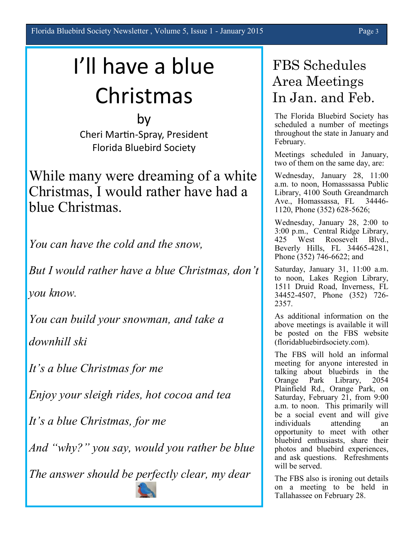## I'll have a blue Christmas

by Cheri Martin-Spray, President Florida Bluebird Society

While many were dreaming of a white Christmas, I would rather have had a blue Christmas.

You can have the cold and the snow,

But I would rather have a blue Christmas, don't

you know.

You can build your snowman, and take a

downhill ski

It's a blue Christmas for me

Enjoy your sleigh rides, hot cocoa and tea

It's a blue Christmas, for me

And "why?" you say, would you rather be blue

The answer should be perfectly clear, my dear

#### FBS Schedules Area Meetings In Jan. and Feb.

The Florida Bluebird Society has scheduled a number of meetings throughout the state in January and February.

Meetings scheduled in January, two of them on the same day, are:

Wednesday, January 28, 11:00 a.m. to noon, Homasssassa Public Library, 4100 South Greandmarch Ave., Homassassa, FL 34446- 1120, Phone (352) 628-5626;

Wednesday, January 28, 2:00 to 3:00 p.m., Central Ridge Library, 425 West Roosevelt Blvd., Beverly Hills, FL 34465-4281, Phone (352) 746-6622; and

Saturday, January 31, 11:00 a.m. to noon, Lakes Region Library, 1511 Druid Road, Inverness, FL 34452-4507, Phone (352) 726- 2357.

As additional information on the above meetings is available it will be posted on the FBS website (floridabluebirdsociety.com).

The FBS will hold an informal meeting for anyone interested in talking about bluebirds in the Orange Park Library, 2054 Plainfield Rd., Orange Park, on Saturday, February 21, from 9:00 a.m. to noon. This primarily will be a social event and will give individuals attending opportunity to meet with other bluebird enthusiasts, share their photos and bluebird experiences, and ask questions. Refreshments will be served.

The FBS also is ironing out details on a meeting to be held in Tallahassee on February 28.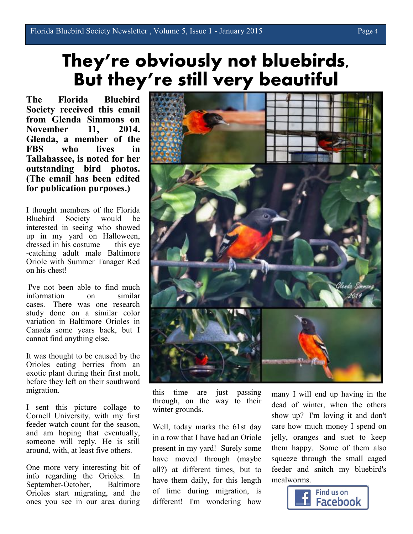### **They're obviously not bluebirds, But they're still very beautiful**

**The Florida Bluebird Society received this email from Glenda Simmons on November 11, 2014. Glenda, a member of the FBS who lives in Tallahassee, is noted for her outstanding bird photos. (The email has been edited for publication purposes.)**

I thought members of the Florida Bluebird Society would be interested in seeing who showed up in my yard on Halloween, dressed in his costume — this eye -catching adult male Baltimore Oriole with Summer Tanager Red on his chest!

I've not been able to find much information on similar cases. There was one research study done on a similar color variation in Baltimore Orioles in Canada some years back, but I cannot find anything else.

It was thought to be caused by the Orioles eating berries from an exotic plant during their first molt, before they left on their southward migration.

I sent this picture collage to Cornell University, with my first feeder watch count for the season, and am hoping that eventually, someone will reply. He is still around, with, at least five others.

One more very interesting bit of info regarding the Orioles. In September-October, Baltimore Orioles start migrating, and the ones you see in our area during



this time are just passing through, on the way to their winter grounds.

Well, today marks the 61st day in a row that I have had an Oriole present in my yard! Surely some have moved through (maybe all?) at different times, but to have them daily, for this length of time during migration, is different! I'm wondering how

many I will end up having in the dead of winter, when the others show up? I'm loving it and don't care how much money I spend on jelly, oranges and suet to keep them happy. Some of them also squeeze through the small caged feeder and snitch my bluebird's mealworms.